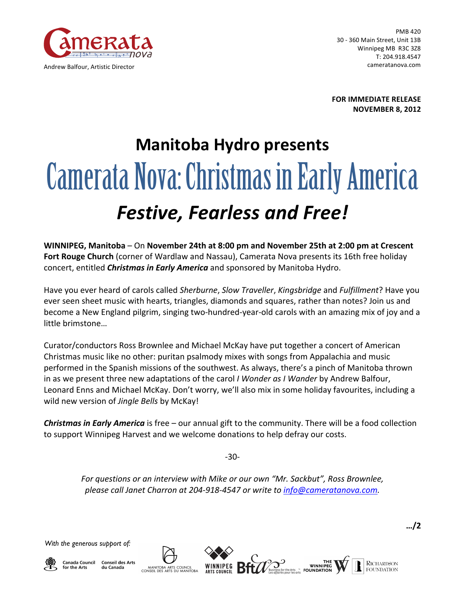

PMB 420 30 - 360 Main Street, Unit 13B Winnipeg MB R3C 3Z8 T: 204.918.4547 cameratanova.com

**FOR IMMEDIATE RELEASE NOVEMBER 8, 2012**

## **Manitoba Hydro presents** Camerata Nova: Christmas in Early America *Festive, Fearless and Free!*

**WINNIPEG, Manitoba** – On November 24th at 8:00 pm and November 25th at 2:00 pm at Crescent **Fort Rouge Church** (corner of Wardlaw and Nassau), Camerata Nova presents its 16th free holiday concert, entitled *Christmas in Early America* and sponsored by Manitoba Hydro.

Have you ever heard of carols called *Sherburne*, *Slow Traveller*, *Kingsbridge* and *Fulfillment*? Have you ever seen sheet music with hearts, triangles, diamonds and squares, rather than notes? Join us and become a New England pilgrim, singing two-hundred-year-old carols with an amazing mix of joy and a little brimstone…

Curator/conductors Ross Brownlee and Michael McKay have put together a concert of American Christmas music like no other: puritan psalmody mixes with songs from Appalachia and music performed in the Spanish missions of the southwest. As always, there's a pinch of Manitoba thrown in as we present three new adaptations of the carol *I Wonder as I Wander* by Andrew Balfour, Leonard Enns and Michael McKay. Don't worry, we'll also mix in some holiday favourites, including a wild new version of *Jingle Bells* by McKay!

**Christmas in Early America** is free – our annual gift to the community. There will be a food collection to support Winnipeg Harvest and we welcome donations to help defray our costs.

-30-

*For questions or an interview with Mike or our own "Mr. Sackbut", Ross Brownlee, please call Janet Charron at 204-918-4547 or write to info@cameratanova.com.* 

*With the generous support of:*



**Canada Council Conseil des Arts** for the Arts du Canada

MANITOBA ARTS COUNCIL<br>CONSEIL DES ARTS DU MANITOBA



**RICHARDSON** 

**FOUNDATION** 

ITE<br>WINNIPEG<br>FOUNDATION ...